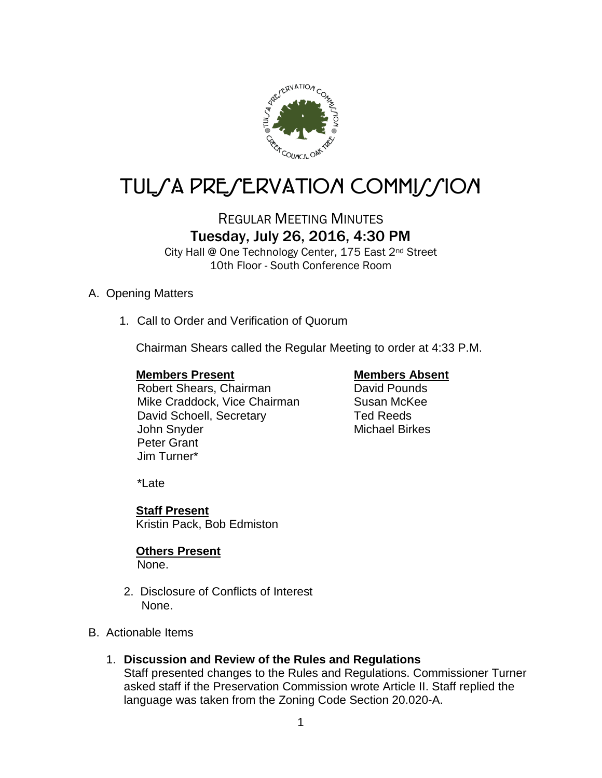

# TUL/A PRE/ERVATION COMMI*J*/ION

# REGULAR MEETING MINUTES Tuesday, July 26, 2016, 4:30 PM

City Hall @ One Technology Center, 175 East 2<sup>nd</sup> Street 10th Floor - South Conference Room

# A. Opening Matters

1. Call to Order and Verification of Quorum

Chairman Shears called the Regular Meeting to order at 4:33 P.M.

# **Members Present Members Absent**

Robert Shears, Chairman **David Pounds** Mike Craddock, Vice Chairman Susan McKee David Schoell, Secretary Ted Reeds John Snyder **Michael Birkes** Peter Grant Jim Turner\*

\*Late

**Staff Present** Kristin Pack, Bob Edmiston

# **Others Present**

None.

- 2. Disclosure of Conflicts of Interest None.
- B. Actionable Items

# 1. **Discussion and Review of the Rules and Regulations**

Staff presented changes to the Rules and Regulations. Commissioner Turner asked staff if the Preservation Commission wrote Article II. Staff replied the language was taken from the Zoning Code Section 20.020-A.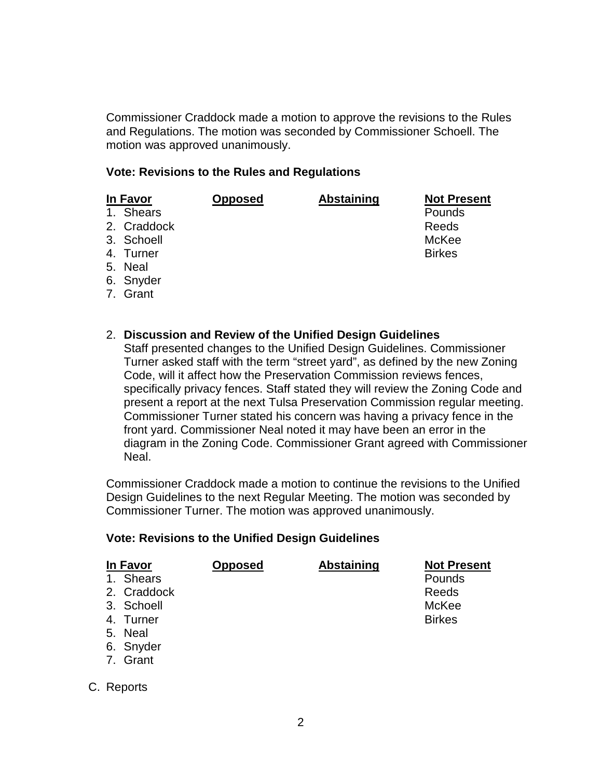Commissioner Craddock made a motion to approve the revisions to the Rules and Regulations. The motion was seconded by Commissioner Schoell. The motion was approved unanimously.

## **Vote: Revisions to the Rules and Regulations**

| <b>In Favor</b> | <b>Opposed</b> | <b>Abstaining</b> | <b>Not Present</b> |
|-----------------|----------------|-------------------|--------------------|
| 1. Shears       |                |                   | Pounds             |
| 2. Craddock     |                |                   | Reeds              |
| 3. Schoell      |                |                   | McKee              |
| 4. Turner       |                |                   | <b>Birkes</b>      |
| 5. Neal         |                |                   |                    |
| 6. Snyder       |                |                   |                    |
| 7. Grant        |                |                   |                    |

2. **Discussion and Review of the Unified Design Guidelines** Staff presented changes to the Unified Design Guidelines. Commissioner Turner asked staff with the term "street yard", as defined by the new Zoning Code, will it affect how the Preservation Commission reviews fences, specifically privacy fences. Staff stated they will review the Zoning Code and present a report at the next Tulsa Preservation Commission regular meeting. Commissioner Turner stated his concern was having a privacy fence in the front yard. Commissioner Neal noted it may have been an error in the diagram in the Zoning Code. Commissioner Grant agreed with Commissioner Neal.

Commissioner Craddock made a motion to continue the revisions to the Unified Design Guidelines to the next Regular Meeting. The motion was seconded by Commissioner Turner. The motion was approved unanimously.

#### **Vote: Revisions to the Unified Design Guidelines**

| In Favor    | <b>Opposed</b> | <b>Abstaining</b> | <b>Not Present</b> |
|-------------|----------------|-------------------|--------------------|
| 1. Shears   |                |                   | Pounds             |
| 2. Craddock |                |                   | Reeds              |
| 3. Schoell  |                |                   | McKee              |
| 4. Turner   |                |                   | <b>Birkes</b>      |
| 5. Neal     |                |                   |                    |
| 6. Snyder   |                |                   |                    |

- 7. Grant
- C. Reports